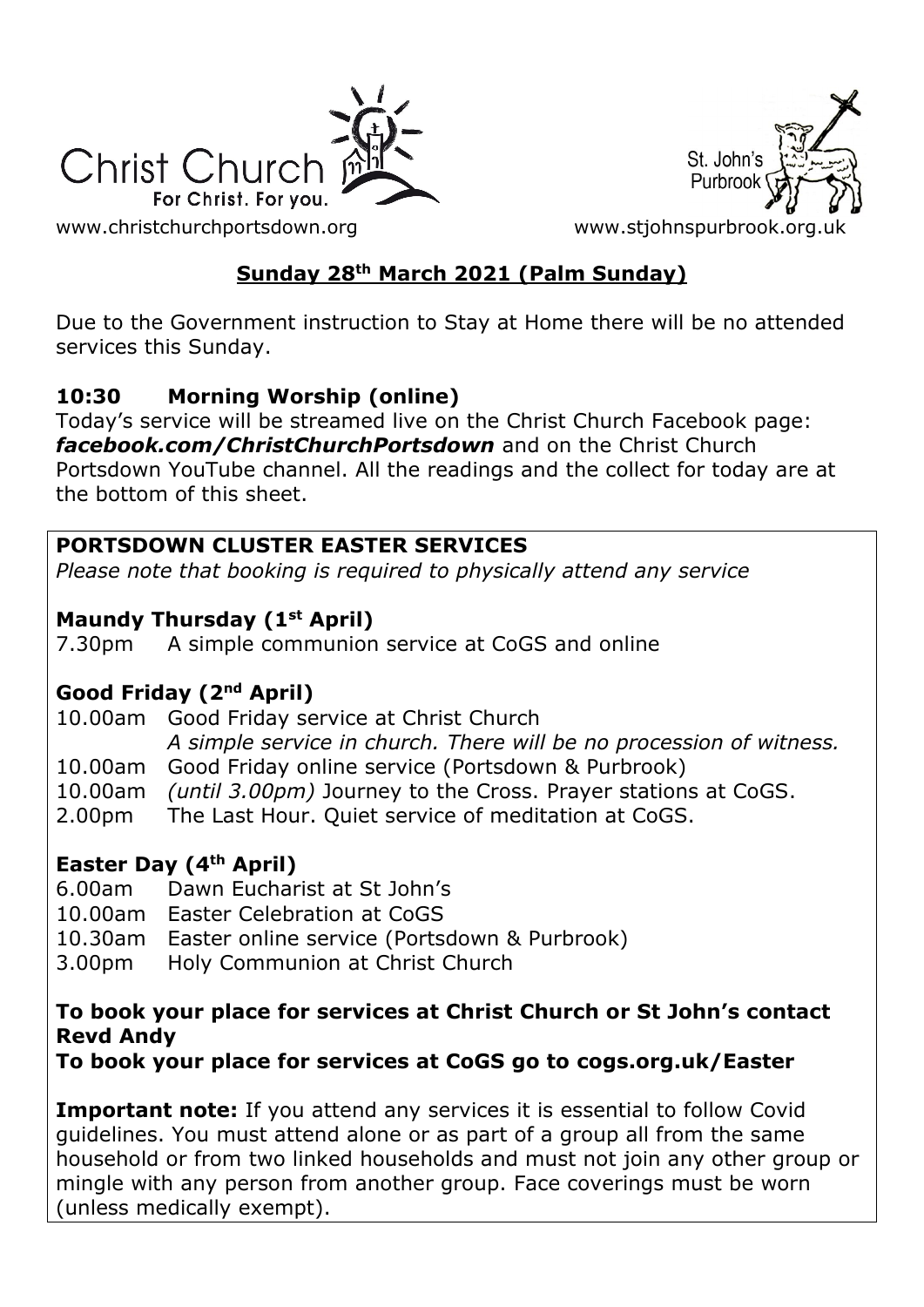



[www.christchurchportsdown.org](http://www.christchurchportsdown.org/) www.stjohnspurbrook.org

# **Sunday 28th March 2021 (Palm Sunday)**

Due to the Government instruction to Stay at Home there will be no attended services this Sunday.

# **10:30 Morning Worship (online)**

Today's service will be streamed live on the Christ Church Facebook page: *[facebook.com/ChristChurchPortsdown](http://www.facebook.com/ChristChurchPortsdown%20at%2010.30)* and on the Christ Church Portsdown YouTube channel. All the readings and the collect for today are at the bottom of this sheet.

# **PORTSDOWN CLUSTER EASTER SERVICES**

*Please note that booking is required to physically attend any service*

# **Maundy Thursday (1st April)**

7.30pm A simple communion service at CoGS and online

### **Good Friday (2nd April)**

10.00am Good Friday service at Christ Church *A simple service in church. There will be no procession of witness.* 10.00am Good Friday online service (Portsdown & Purbrook) 10.00am *(until 3.00pm)* Journey to the Cross. Prayer stations at CoGS.

2.00pm The Last Hour. Quiet service of meditation at CoGS.

# **Easter Day (4th April)**

- 6.00am Dawn Eucharist at St John's
- 10.00am Easter Celebration at CoGS
- 10.30am Easter online service (Portsdown & Purbrook)
- 3.00pm Holy Communion at Christ Church

#### **To book your place for services at Christ Church or St John's contact Revd Andy**

**To book your place for services at CoGS go to cogs.org.uk/Easter**

**Important note:** If you attend any services it is essential to follow Covid guidelines. You must attend alone or as part of a group all from the same household or from two linked households and must not join any other group or mingle with any person from another group. Face coverings must be worn (unless medically exempt).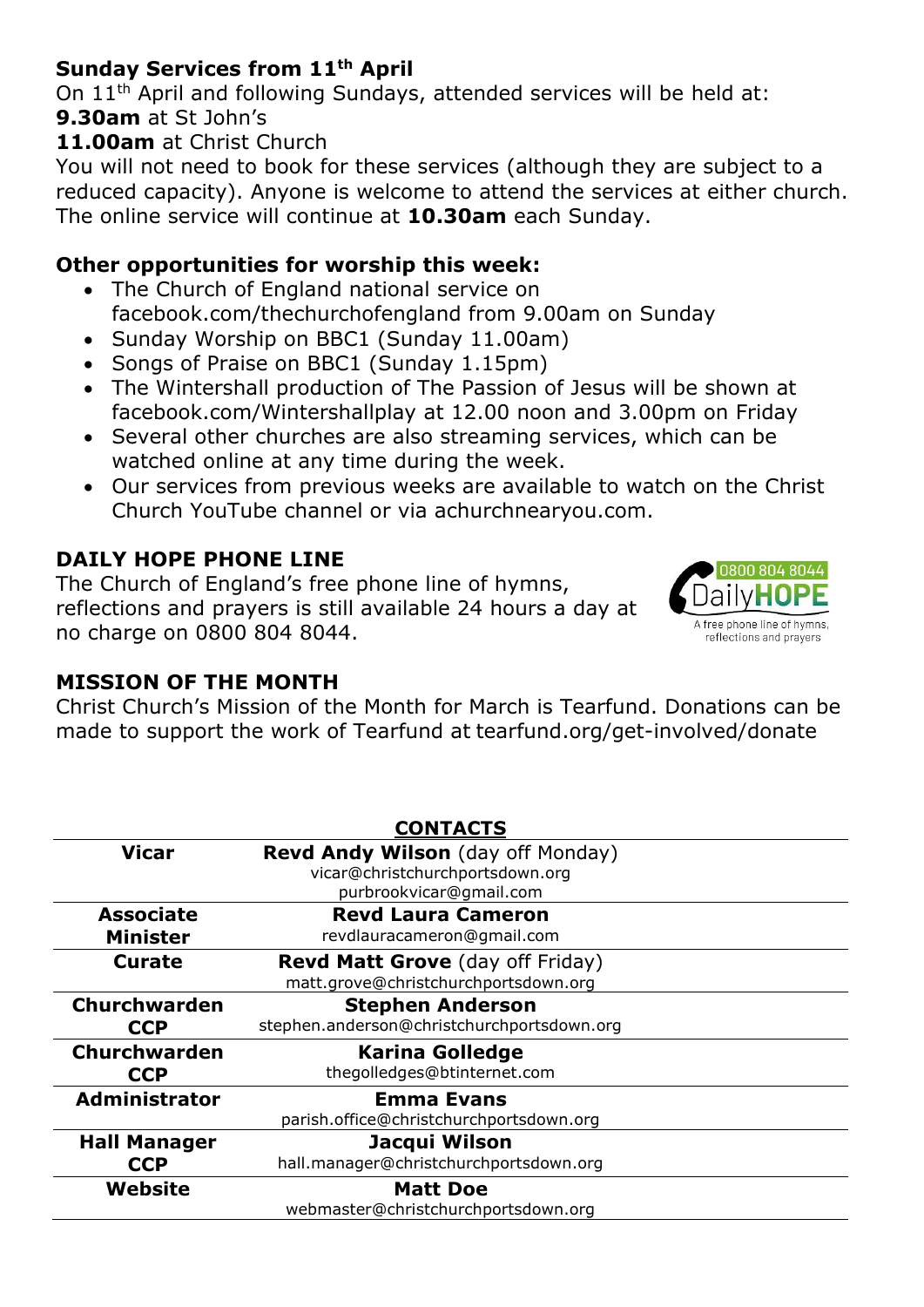# **Sunday Services from 11th April**

On 11th April and following Sundays, attended services will be held at: **9.30am** at St John's

#### **11.00am** at Christ Church

You will not need to book for these services (although they are subject to a reduced capacity). Anyone is welcome to attend the services at either church. The online service will continue at **10.30am** each Sunday.

#### **Other opportunities for worship this week:**

- The Church of England national service on facebook.com/thechurchofengland from 9.00am on Sunday
- Sunday Worship on BBC1 (Sunday 11.00am)
- Songs of Praise on BBC1 (Sunday 1.15pm)
- The Wintershall production of The Passion of Jesus will be shown at facebook.com/Wintershallplay at 12.00 noon and 3.00pm on Friday
- Several other churches are also streaming services, which can be watched online at any time during the week.
- Our services from previous weeks are available to watch on the Christ Church YouTube channel or via achurchnearyou.com.

# **DAILY HOPE PHONE LINE**

The Church of England's free phone line of hymns, reflections and prayers is still available 24 hours a day at no charge on 0800 804 8044.



### **MISSION OF THE MONTH**

Christ Church's Mission of the Month for March is Tearfund. Donations can be made to support the work of Tearfund at tearfund.org/get-involved/donate

| <b>CONTACTS</b>      |                                            |
|----------------------|--------------------------------------------|
| <b>Vicar</b>         | Revd Andy Wilson (day off Monday)          |
|                      | vicar@christchurchportsdown.org            |
|                      | purbrookvicar@gmail.com                    |
| <b>Associate</b>     | <b>Revd Laura Cameron</b>                  |
| <b>Minister</b>      | revdlauracameron@gmail.com                 |
| Curate               | <b>Revd Matt Grove</b> (day off Friday)    |
|                      | matt.grove@christchurchportsdown.org       |
| <b>Churchwarden</b>  | <b>Stephen Anderson</b>                    |
| <b>CCP</b>           | stephen.anderson@christchurchportsdown.org |
| <b>Churchwarden</b>  | <b>Karina Golledge</b>                     |
| <b>CCP</b>           | thegolledges@btinternet.com                |
| <b>Administrator</b> | <b>Emma Evans</b>                          |
|                      | parish.office@christchurchportsdown.org    |
| <b>Hall Manager</b>  | Jacqui Wilson                              |
| <b>CCP</b>           | hall.manager@christchurchportsdown.org     |
| Website              | <b>Matt Doe</b>                            |
|                      | webmaster@christchurchportsdown.org        |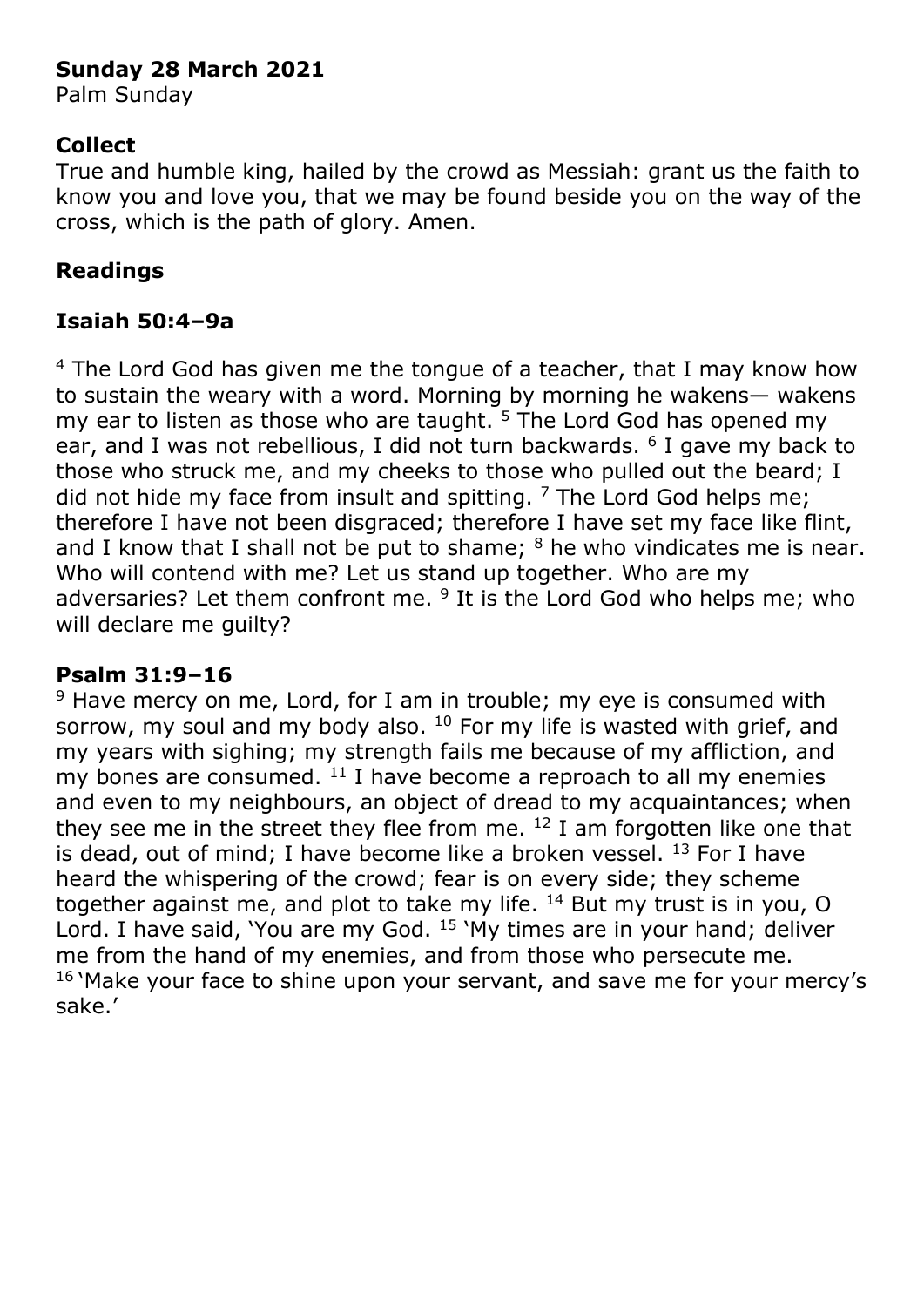### **Sunday 28 March 2021**

Palm Sunday

### **Collect**

True and humble king, hailed by the crowd as Messiah: grant us the faith to know you and love you, that we may be found beside you on the way of the cross, which is the path of glory. Amen.

# **Readings**

# **Isaiah 50:4–9a**

<sup>4</sup> The Lord God has given me the tongue of a teacher, that I may know how to sustain the weary with a word. Morning by morning he wakens— wakens my ear to listen as those who are taught.  $5$  The Lord God has opened my ear, and I was not rebellious, I did not turn backwards. <sup>6</sup> I gave my back to those who struck me, and my cheeks to those who pulled out the beard; I did not hide my face from insult and spitting.  $7$  The Lord God helps me; therefore I have not been disgraced; therefore I have set my face like flint, and I know that I shall not be put to shame;  $8$  he who vindicates me is near. Who will contend with me? Let us stand up together. Who are my adversaries? Let them confront me.  $9$  It is the Lord God who helps me; who will declare me guilty?

### **Psalm 31:9–16**

 $9$  Have mercy on me, Lord, for I am in trouble; my eye is consumed with sorrow, my soul and my body also.  $10$  For my life is wasted with grief, and my years with sighing; my strength fails me because of my affliction, and my bones are consumed.  $11$  I have become a reproach to all my enemies and even to my neighbours, an object of dread to my acquaintances; when they see me in the street they flee from me.  $12$  I am forgotten like one that is dead, out of mind; I have become like a broken vessel.  $^{13}$  For I have heard the whispering of the crowd; fear is on every side; they scheme together against me, and plot to take my life. <sup>14</sup> But my trust is in you, O Lord. I have said, 'You are my God. <sup>15</sup> 'My times are in your hand; deliver me from the hand of my enemies, and from those who persecute me. <sup>16</sup> 'Make your face to shine upon your servant, and save me for your mercy's sake.'